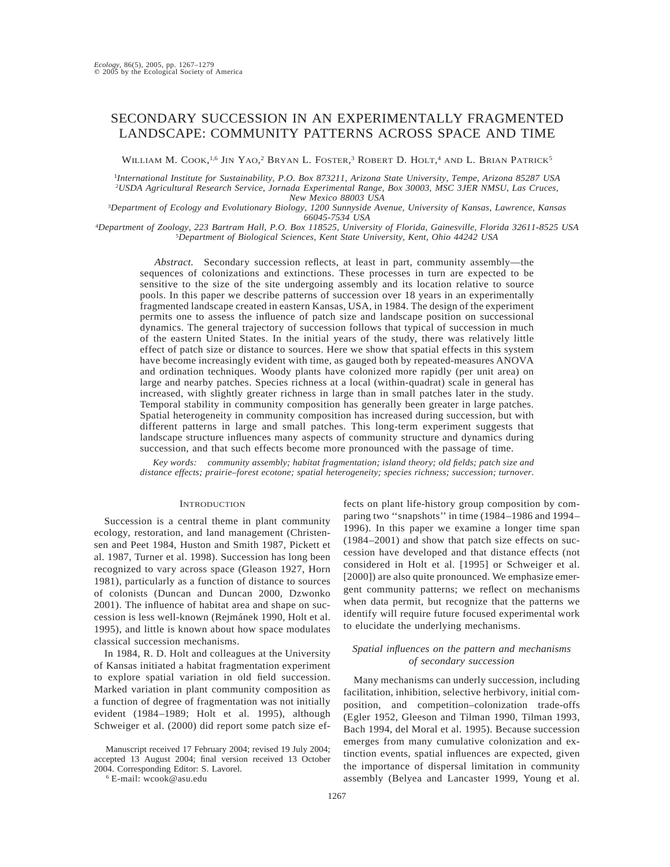# SECONDARY SUCCESSION IN AN EXPERIMENTALLY FRAGMENTED LANDSCAPE: COMMUNITY PATTERNS ACROSS SPACE AND TIME

WILLIAM M. COOK,<sup>1,6</sup> Jin Yao,<sup>2</sup> Bryan L. Foster,<sup>3</sup> Robert D. Holt,<sup>4</sup> and L. Brian Patrick<sup>5</sup>

<sup>1</sup>*International Institute for Sustainability, P.O. Box 873211, Arizona State University, Tempe, Arizona 85287 USA* <sup>2</sup>*USDA Agricultural Research Service, Jornada Experimental Range, Box 30003, MSC 3JER NMSU, Las Cruces, New Mexico 88003 USA*

3 *Department of Ecology and Evolutionary Biology, 1200 Sunnyside Avenue, University of Kansas, Lawrence, Kansas 66045-7534 USA*

4 *Department of Zoology, 223 Bartram Hall, P.O. Box 118525, University of Florida, Gainesville, Florida 32611-8525 USA* 5 *Department of Biological Sciences, Kent State University, Kent, Ohio 44242 USA*

*Abstract.* Secondary succession reflects, at least in part, community assembly—the sequences of colonizations and extinctions. These processes in turn are expected to be sensitive to the size of the site undergoing assembly and its location relative to source pools. In this paper we describe patterns of succession over 18 years in an experimentally fragmented landscape created in eastern Kansas, USA, in 1984. The design of the experiment permits one to assess the influence of patch size and landscape position on successional dynamics. The general trajectory of succession follows that typical of succession in much of the eastern United States. In the initial years of the study, there was relatively little effect of patch size or distance to sources. Here we show that spatial effects in this system have become increasingly evident with time, as gauged both by repeated-measures ANOVA and ordination techniques. Woody plants have colonized more rapidly (per unit area) on large and nearby patches. Species richness at a local (within-quadrat) scale in general has increased, with slightly greater richness in large than in small patches later in the study. Temporal stability in community composition has generally been greater in large patches. Spatial heterogeneity in community composition has increased during succession, but with different patterns in large and small patches. This long-term experiment suggests that landscape structure influences many aspects of community structure and dynamics during succession, and that such effects become more pronounced with the passage of time.

*Key words: community assembly; habitat fragmentation; island theory; old fields; patch size and distance effects; prairie–forest ecotone; spatial heterogeneity; species richness; succession; turnover.*

## **INTRODUCTION**

Succession is a central theme in plant community ecology, restoration, and land management (Christensen and Peet 1984, Huston and Smith 1987, Pickett et al. 1987, Turner et al. 1998). Succession has long been recognized to vary across space (Gleason 1927, Horn 1981), particularly as a function of distance to sources of colonists (Duncan and Duncan 2000, Dzwonko 2001). The influence of habitat area and shape on succession is less well-known (Rejmánek 1990, Holt et al. 1995), and little is known about how space modulates classical succession mechanisms.

In 1984, R. D. Holt and colleagues at the University of Kansas initiated a habitat fragmentation experiment to explore spatial variation in old field succession. Marked variation in plant community composition as a function of degree of fragmentation was not initially evident (1984–1989; Holt et al. 1995), although Schweiger et al. (2000) did report some patch size ef-

fects on plant life-history group composition by comparing two ''snapshots'' in time (1984–1986 and 1994– 1996). In this paper we examine a longer time span (1984–2001) and show that patch size effects on succession have developed and that distance effects (not considered in Holt et al. [1995] or Schweiger et al. [2000]) are also quite pronounced. We emphasize emergent community patterns; we reflect on mechanisms when data permit, but recognize that the patterns we identify will require future focused experimental work to elucidate the underlying mechanisms.

# *Spatial influences on the pattern and mechanisms of secondary succession*

Many mechanisms can underly succession, including facilitation, inhibition, selective herbivory, initial composition, and competition–colonization trade-offs (Egler 1952, Gleeson and Tilman 1990, Tilman 1993, Bach 1994, del Moral et al. 1995). Because succession emerges from many cumulative colonization and extinction events, spatial influences are expected, given the importance of dispersal limitation in community assembly (Belyea and Lancaster 1999, Young et al.

Manuscript received 17 February 2004; revised 19 July 2004; accepted 13 August 2004; final version received 13 October 2004. Corresponding Editor: S. Lavorel.

<sup>6</sup> E-mail: wcook@asu.edu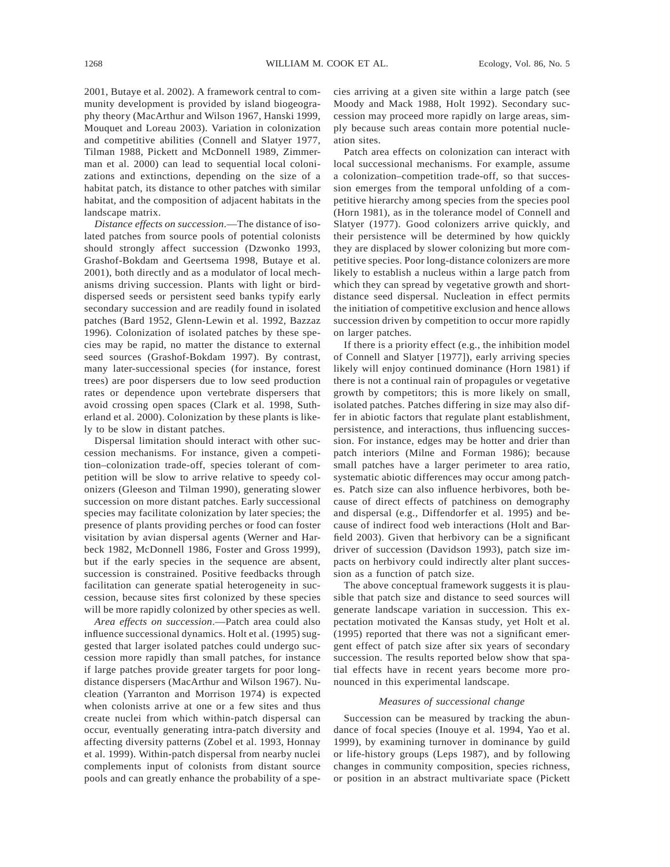2001, Butaye et al. 2002). A framework central to community development is provided by island biogeography theory (MacArthur and Wilson 1967, Hanski 1999, Mouquet and Loreau 2003). Variation in colonization and competitive abilities (Connell and Slatyer 1977, Tilman 1988, Pickett and McDonnell 1989, Zimmerman et al. 2000) can lead to sequential local colonizations and extinctions, depending on the size of a habitat patch, its distance to other patches with similar habitat, and the composition of adjacent habitats in the landscape matrix.

*Distance effects on succession*.—The distance of isolated patches from source pools of potential colonists should strongly affect succession (Dzwonko 1993, Grashof-Bokdam and Geertsema 1998, Butaye et al. 2001), both directly and as a modulator of local mechanisms driving succession. Plants with light or birddispersed seeds or persistent seed banks typify early secondary succession and are readily found in isolated patches (Bard 1952, Glenn-Lewin et al. 1992, Bazzaz 1996). Colonization of isolated patches by these species may be rapid, no matter the distance to external seed sources (Grashof-Bokdam 1997). By contrast, many later-successional species (for instance, forest trees) are poor dispersers due to low seed production rates or dependence upon vertebrate dispersers that avoid crossing open spaces (Clark et al. 1998, Sutherland et al. 2000). Colonization by these plants is likely to be slow in distant patches.

Dispersal limitation should interact with other succession mechanisms. For instance, given a competition–colonization trade-off, species tolerant of competition will be slow to arrive relative to speedy colonizers (Gleeson and Tilman 1990), generating slower succession on more distant patches. Early successional species may facilitate colonization by later species; the presence of plants providing perches or food can foster visitation by avian dispersal agents (Werner and Harbeck 1982, McDonnell 1986, Foster and Gross 1999), but if the early species in the sequence are absent, succession is constrained. Positive feedbacks through facilitation can generate spatial heterogeneity in succession, because sites first colonized by these species will be more rapidly colonized by other species as well.

*Area effects on succession*.—Patch area could also influence successional dynamics. Holt et al. (1995) suggested that larger isolated patches could undergo succession more rapidly than small patches, for instance if large patches provide greater targets for poor longdistance dispersers (MacArthur and Wilson 1967). Nucleation (Yarranton and Morrison 1974) is expected when colonists arrive at one or a few sites and thus create nuclei from which within-patch dispersal can occur, eventually generating intra-patch diversity and affecting diversity patterns (Zobel et al. 1993, Honnay et al. 1999). Within-patch dispersal from nearby nuclei complements input of colonists from distant source pools and can greatly enhance the probability of a species arriving at a given site within a large patch (see Moody and Mack 1988, Holt 1992). Secondary succession may proceed more rapidly on large areas, simply because such areas contain more potential nucleation sites.

Patch area effects on colonization can interact with local successional mechanisms. For example, assume a colonization–competition trade-off, so that succession emerges from the temporal unfolding of a competitive hierarchy among species from the species pool (Horn 1981), as in the tolerance model of Connell and Slatyer (1977). Good colonizers arrive quickly, and their persistence will be determined by how quickly they are displaced by slower colonizing but more competitive species. Poor long-distance colonizers are more likely to establish a nucleus within a large patch from which they can spread by vegetative growth and shortdistance seed dispersal. Nucleation in effect permits the initiation of competitive exclusion and hence allows succession driven by competition to occur more rapidly on larger patches.

If there is a priority effect (e.g., the inhibition model of Connell and Slatyer [1977]), early arriving species likely will enjoy continued dominance (Horn 1981) if there is not a continual rain of propagules or vegetative growth by competitors; this is more likely on small, isolated patches. Patches differing in size may also differ in abiotic factors that regulate plant establishment, persistence, and interactions, thus influencing succession. For instance, edges may be hotter and drier than patch interiors (Milne and Forman 1986); because small patches have a larger perimeter to area ratio, systematic abiotic differences may occur among patches. Patch size can also influence herbivores, both because of direct effects of patchiness on demography and dispersal (e.g., Diffendorfer et al. 1995) and because of indirect food web interactions (Holt and Barfield 2003). Given that herbivory can be a significant driver of succession (Davidson 1993), patch size impacts on herbivory could indirectly alter plant succession as a function of patch size.

The above conceptual framework suggests it is plausible that patch size and distance to seed sources will generate landscape variation in succession. This expectation motivated the Kansas study, yet Holt et al. (1995) reported that there was not a significant emergent effect of patch size after six years of secondary succession. The results reported below show that spatial effects have in recent years become more pronounced in this experimental landscape.

## *Measures of successional change*

Succession can be measured by tracking the abundance of focal species (Inouye et al. 1994, Yao et al. 1999), by examining turnover in dominance by guild or life-history groups (Leps 1987), and by following changes in community composition, species richness, or position in an abstract multivariate space (Pickett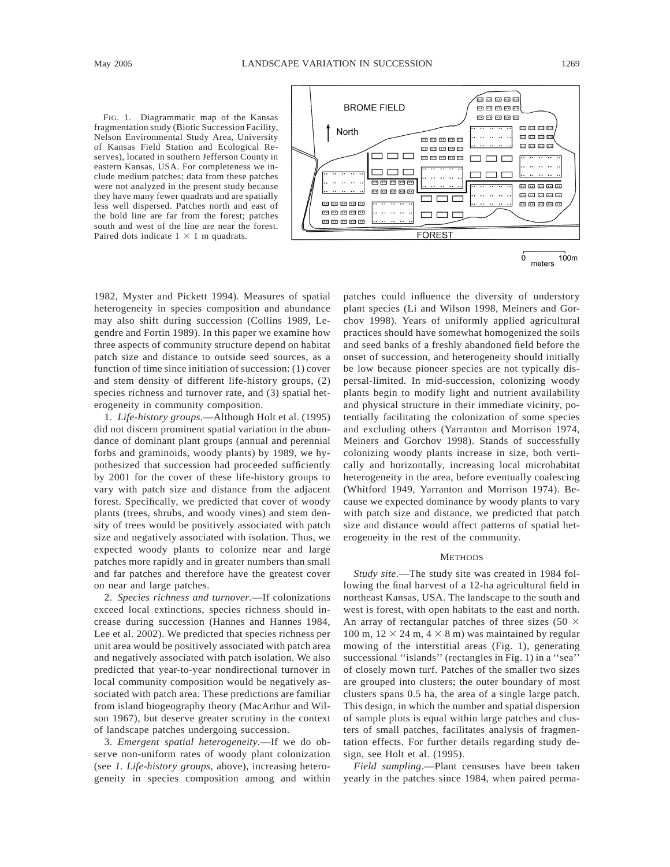FIG. 1. Diagrammatic map of the Kansas fragmentation study (Biotic Succession Facility, Nelson Environmental Study Area, University of Kansas Field Station and Ecological Reserves), located in southern Jefferson County in eastern Kansas, USA. For completeness we include medium patches; data from these patches were not analyzed in the present study because they have many fewer quadrats and are spatially less well dispersed. Patches north and east of the bold line are far from the forest; patches south and west of the line are near the forest. Paired dots indicate  $1 \times 1$  m quadrats.





1982, Myster and Pickett 1994). Measures of spatial heterogeneity in species composition and abundance may also shift during succession (Collins 1989, Legendre and Fortin 1989). In this paper we examine how three aspects of community structure depend on habitat patch size and distance to outside seed sources, as a function of time since initiation of succession: (1) cover and stem density of different life-history groups, (2) species richness and turnover rate, and (3) spatial heterogeneity in community composition.

1. *Life-history groups*.—Although Holt et al. (1995) did not discern prominent spatial variation in the abundance of dominant plant groups (annual and perennial forbs and graminoids, woody plants) by 1989, we hypothesized that succession had proceeded sufficiently by 2001 for the cover of these life-history groups to vary with patch size and distance from the adjacent forest. Specifically, we predicted that cover of woody plants (trees, shrubs, and woody vines) and stem density of trees would be positively associated with patch size and negatively associated with isolation. Thus, we expected woody plants to colonize near and large patches more rapidly and in greater numbers than small and far patches and therefore have the greatest cover on near and large patches.

2. *Species richness and turnover*.—If colonizations exceed local extinctions, species richness should increase during succession (Hannes and Hannes 1984, Lee et al. 2002). We predicted that species richness per unit area would be positively associated with patch area and negatively associated with patch isolation. We also predicted that year-to-year nondirectional turnover in local community composition would be negatively associated with patch area. These predictions are familiar from island biogeography theory (MacArthur and Wilson 1967), but deserve greater scrutiny in the context of landscape patches undergoing succession.

3. *Emergent spatial heterogeneity*.—If we do observe non-uniform rates of woody plant colonization (see *1. Life-history groups,* above), increasing heterogeneity in species composition among and within

patches could influence the diversity of understory plant species (Li and Wilson 1998, Meiners and Gorchov 1998). Years of uniformly applied agricultural practices should have somewhat homogenized the soils and seed banks of a freshly abandoned field before the onset of succession, and heterogeneity should initially be low because pioneer species are not typically dispersal-limited. In mid-succession, colonizing woody plants begin to modify light and nutrient availability and physical structure in their immediate vicinity, potentially facilitating the colonization of some species and excluding others (Yarranton and Morrison 1974, Meiners and Gorchov 1998). Stands of successfully colonizing woody plants increase in size, both vertically and horizontally, increasing local microhabitat heterogeneity in the area, before eventually coalescing (Whitford 1949, Yarranton and Morrison 1974). Because we expected dominance by woody plants to vary with patch size and distance, we predicted that patch size and distance would affect patterns of spatial heterogeneity in the rest of the community.

## **METHODS**

*Study site*.—The study site was created in 1984 following the final harvest of a 12-ha agricultural field in northeast Kansas, USA. The landscape to the south and west is forest, with open habitats to the east and north. An array of rectangular patches of three sizes (50  $\times$ 100 m,  $12 \times 24$  m,  $4 \times 8$  m) was maintained by regular mowing of the interstitial areas (Fig. 1), generating successional "islands" (rectangles in Fig. 1) in a "sea" of closely mown turf. Patches of the smaller two sizes are grouped into clusters; the outer boundary of most clusters spans 0.5 ha, the area of a single large patch. This design, in which the number and spatial dispersion of sample plots is equal within large patches and clusters of small patches, facilitates analysis of fragmentation effects. For further details regarding study design, see Holt et al. (1995).

*Field sampling*.—Plant censuses have been taken yearly in the patches since 1984, when paired perma-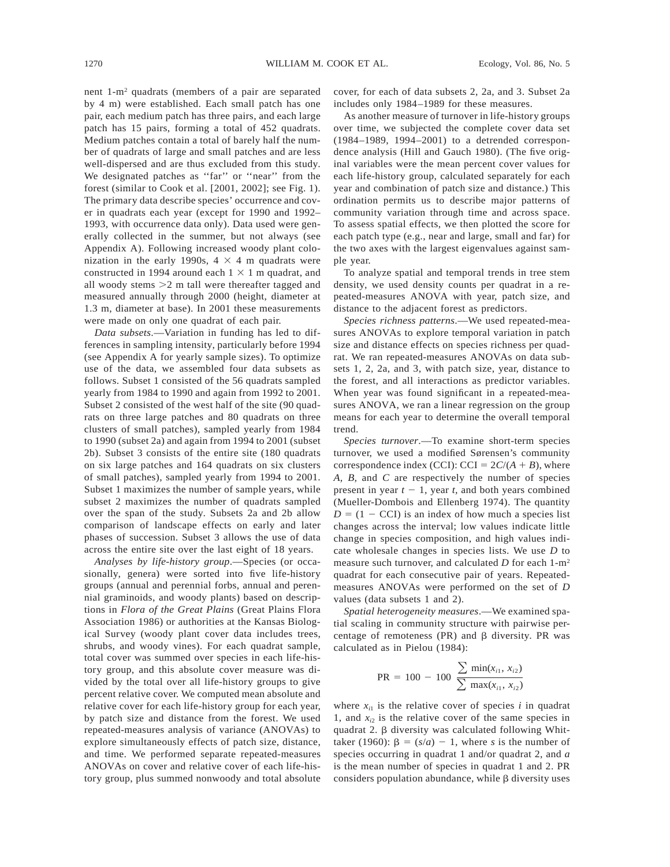nent 1-m2 quadrats (members of a pair are separated by 4 m) were established. Each small patch has one pair, each medium patch has three pairs, and each large patch has 15 pairs, forming a total of 452 quadrats. Medium patches contain a total of barely half the number of quadrats of large and small patches and are less well-dispersed and are thus excluded from this study. We designated patches as ''far'' or ''near'' from the forest (similar to Cook et al. [2001, 2002]; see Fig. 1). The primary data describe species' occurrence and cover in quadrats each year (except for 1990 and 1992– 1993, with occurrence data only). Data used were generally collected in the summer, but not always (see Appendix A). Following increased woody plant colonization in the early 1990s,  $4 \times 4$  m quadrats were constructed in 1994 around each  $1 \times 1$  m quadrat, and all woody stems  $>2$  m tall were thereafter tagged and measured annually through 2000 (height, diameter at 1.3 m, diameter at base). In 2001 these measurements were made on only one quadrat of each pair.

*Data subsets*.—Variation in funding has led to differences in sampling intensity, particularly before 1994 (see Appendix A for yearly sample sizes). To optimize use of the data, we assembled four data subsets as follows. Subset 1 consisted of the 56 quadrats sampled yearly from 1984 to 1990 and again from 1992 to 2001. Subset 2 consisted of the west half of the site (90 quadrats on three large patches and 80 quadrats on three clusters of small patches), sampled yearly from 1984 to 1990 (subset 2a) and again from 1994 to 2001 (subset 2b). Subset 3 consists of the entire site (180 quadrats on six large patches and 164 quadrats on six clusters of small patches), sampled yearly from 1994 to 2001. Subset 1 maximizes the number of sample years, while subset 2 maximizes the number of quadrats sampled over the span of the study. Subsets 2a and 2b allow comparison of landscape effects on early and later phases of succession. Subset 3 allows the use of data across the entire site over the last eight of 18 years.

*Analyses by life-history group*.—Species (or occasionally, genera) were sorted into five life-history groups (annual and perennial forbs, annual and perennial graminoids, and woody plants) based on descriptions in *Flora of the Great Plains* (Great Plains Flora Association 1986) or authorities at the Kansas Biological Survey (woody plant cover data includes trees, shrubs, and woody vines). For each quadrat sample, total cover was summed over species in each life-history group, and this absolute cover measure was divided by the total over all life-history groups to give percent relative cover. We computed mean absolute and relative cover for each life-history group for each year, by patch size and distance from the forest. We used repeated-measures analysis of variance (ANOVAs) to explore simultaneously effects of patch size, distance, and time. We performed separate repeated-measures ANOVAs on cover and relative cover of each life-history group, plus summed nonwoody and total absolute cover, for each of data subsets 2, 2a, and 3. Subset 2a includes only 1984–1989 for these measures.

As another measure of turnover in life-history groups over time, we subjected the complete cover data set (1984–1989, 1994–2001) to a detrended correspondence analysis (Hill and Gauch 1980). (The five original variables were the mean percent cover values for each life-history group, calculated separately for each year and combination of patch size and distance.) This ordination permits us to describe major patterns of community variation through time and across space. To assess spatial effects, we then plotted the score for each patch type (e.g., near and large, small and far) for the two axes with the largest eigenvalues against sample year.

To analyze spatial and temporal trends in tree stem density, we used density counts per quadrat in a repeated-measures ANOVA with year, patch size, and distance to the adjacent forest as predictors.

*Species richness patterns*.—We used repeated-measures ANOVAs to explore temporal variation in patch size and distance effects on species richness per quadrat. We ran repeated-measures ANOVAs on data subsets 1, 2, 2a, and 3, with patch size, year, distance to the forest, and all interactions as predictor variables. When year was found significant in a repeated-measures ANOVA, we ran a linear regression on the group means for each year to determine the overall temporal trend.

*Species turnover*.—To examine short-term species turnover, we used a modified Sørensen's community correspondence index (CCI): CCI =  $2C/(A + B)$ , where *A, B,* and *C* are respectively the number of species present in year  $t - 1$ , year *t*, and both years combined (Mueller-Dombois and Ellenberg 1974). The quantity  $D = (1 - CCI)$  is an index of how much a species list changes across the interval; low values indicate little change in species composition, and high values indicate wholesale changes in species lists. We use *D* to measure such turnover, and calculated *D* for each 1-m2 quadrat for each consecutive pair of years. Repeatedmeasures ANOVAs were performed on the set of *D* values (data subsets 1 and 2).

*Spatial heterogeneity measures*.—We examined spatial scaling in community structure with pairwise percentage of remoteness (PR) and  $\beta$  diversity. PR was calculated as in Pielou (1984):

$$
PR = 100 - 100 \left[ \frac{\sum \min(x_{i1}, x_{i2})}{\sum \max(x_{i1}, x_{i2})} \right]
$$

where  $x_{i1}$  is the relative cover of species *i* in quadrat 1, and  $x_{i2}$  is the relative cover of the same species in quadrat 2.  $\beta$  diversity was calculated following Whittaker (1960):  $\beta = (s/a) - 1$ , where *s* is the number of species occurring in quadrat 1 and/or quadrat 2, and *a* is the mean number of species in quadrat 1 and 2. PR considers population abundance, while  $\beta$  diversity uses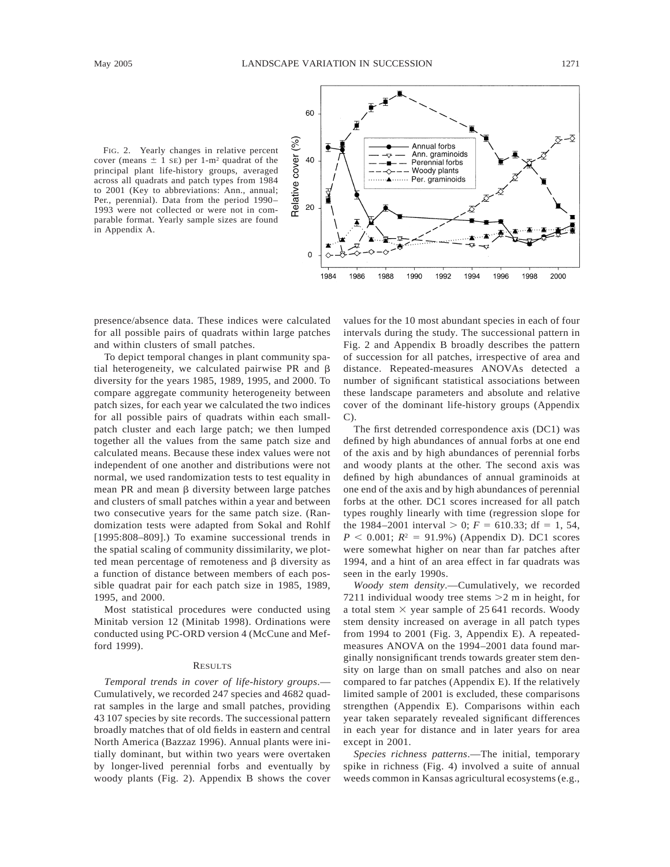



presence/absence data. These indices were calculated for all possible pairs of quadrats within large patches and within clusters of small patches.

To depict temporal changes in plant community spatial heterogeneity, we calculated pairwise PR and  $\beta$ diversity for the years 1985, 1989, 1995, and 2000. To compare aggregate community heterogeneity between patch sizes, for each year we calculated the two indices for all possible pairs of quadrats within each smallpatch cluster and each large patch; we then lumped together all the values from the same patch size and calculated means. Because these index values were not independent of one another and distributions were not normal, we used randomization tests to test equality in mean PR and mean  $\beta$  diversity between large patches and clusters of small patches within a year and between two consecutive years for the same patch size. (Randomization tests were adapted from Sokal and Rohlf [1995:808–809].) To examine successional trends in the spatial scaling of community dissimilarity, we plotted mean percentage of remoteness and  $\beta$  diversity as a function of distance between members of each possible quadrat pair for each patch size in 1985, 1989, 1995, and 2000.

Most statistical procedures were conducted using Minitab version 12 (Minitab 1998). Ordinations were conducted using PC-ORD version 4 (McCune and Mefford 1999).

#### RESULTS

*Temporal trends in cover of life-history groups*.— Cumulatively, we recorded 247 species and 4682 quadrat samples in the large and small patches, providing 43 107 species by site records. The successional pattern broadly matches that of old fields in eastern and central North America (Bazzaz 1996). Annual plants were initially dominant, but within two years were overtaken by longer-lived perennial forbs and eventually by woody plants (Fig. 2). Appendix B shows the cover

values for the 10 most abundant species in each of four intervals during the study. The successional pattern in Fig. 2 and Appendix B broadly describes the pattern of succession for all patches, irrespective of area and distance. Repeated-measures ANOVAs detected a number of significant statistical associations between these landscape parameters and absolute and relative cover of the dominant life-history groups (Appendix  $\mathcal{C}$ ).

The first detrended correspondence axis (DC1) was defined by high abundances of annual forbs at one end of the axis and by high abundances of perennial forbs and woody plants at the other. The second axis was defined by high abundances of annual graminoids at one end of the axis and by high abundances of perennial forbs at the other. DC1 scores increased for all patch types roughly linearly with time (regression slope for the 1984–2001 interval  $> 0$ ;  $F = 610.33$ ; df = 1, 54,  $P < 0.001$ ;  $R^2 = 91.9\%$ ) (Appendix D). DC1 scores were somewhat higher on near than far patches after 1994, and a hint of an area effect in far quadrats was seen in the early 1990s.

*Woody stem density*.—Cumulatively, we recorded 7211 individual woody tree stems  $>2$  m in height, for a total stem  $\times$  year sample of 25 641 records. Woody stem density increased on average in all patch types from 1994 to 2001 (Fig. 3, Appendix E). A repeatedmeasures ANOVA on the 1994–2001 data found marginally nonsignificant trends towards greater stem density on large than on small patches and also on near compared to far patches (Appendix E). If the relatively limited sample of 2001 is excluded, these comparisons strengthen (Appendix E). Comparisons within each year taken separately revealed significant differences in each year for distance and in later years for area except in 2001.

*Species richness patterns*.—The initial, temporary spike in richness (Fig. 4) involved a suite of annual weeds common in Kansas agricultural ecosystems (e.g.,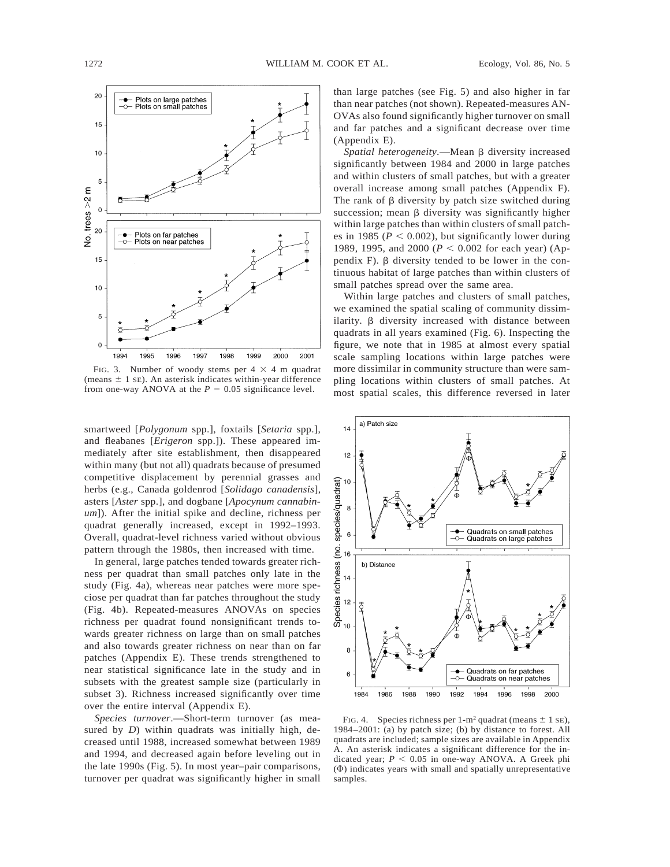

FIG. 3. Number of woody stems per  $4 \times 4$  m quadrat (means  $\pm$  1 sE). An asterisk indicates within-year difference from one-way ANOVA at the  $P = 0.05$  significance level.

smartweed [*Polygonum* spp.], foxtails [*Setaria* spp.], and fleabanes [*Erigeron* spp.]). These appeared immediately after site establishment, then disappeared within many (but not all) quadrats because of presumed competitive displacement by perennial grasses and herbs (e.g., Canada goldenrod [*Solidago canadensis*], asters [*Aster* spp.], and dogbane [*Apocynum cannabinum*]). After the initial spike and decline, richness per quadrat generally increased, except in 1992–1993. Overall, quadrat-level richness varied without obvious pattern through the 1980s, then increased with time.

In general, large patches tended towards greater richness per quadrat than small patches only late in the study (Fig. 4a), whereas near patches were more speciose per quadrat than far patches throughout the study (Fig. 4b). Repeated-measures ANOVAs on species richness per quadrat found nonsignificant trends towards greater richness on large than on small patches and also towards greater richness on near than on far patches (Appendix E). These trends strengthened to near statistical significance late in the study and in subsets with the greatest sample size (particularly in subset 3). Richness increased significantly over time over the entire interval (Appendix E).

*Species turnover*.—Short-term turnover (as measured by *D*) within quadrats was initially high, decreased until 1988, increased somewhat between 1989 and 1994, and decreased again before leveling out in the late 1990s (Fig. 5). In most year–pair comparisons, turnover per quadrat was significantly higher in small than large patches (see Fig. 5) and also higher in far than near patches (not shown). Repeated-measures AN-OVAs also found significantly higher turnover on small and far patches and a significant decrease over time (Appendix E).

*Spatial heterogeneity*.—Mean  $\beta$  diversity increased significantly between 1984 and 2000 in large patches and within clusters of small patches, but with a greater overall increase among small patches (Appendix F). The rank of  $\beta$  diversity by patch size switched during succession; mean  $\beta$  diversity was significantly higher within large patches than within clusters of small patches in 1985 ( $P < 0.002$ ), but significantly lower during 1989, 1995, and 2000 ( $P < 0.002$  for each year) (Appendix F).  $\beta$  diversity tended to be lower in the continuous habitat of large patches than within clusters of small patches spread over the same area.

Within large patches and clusters of small patches, we examined the spatial scaling of community dissimilarity.  $\beta$  diversity increased with distance between quadrats in all years examined (Fig. 6). Inspecting the figure, we note that in 1985 at almost every spatial scale sampling locations within large patches were more dissimilar in community structure than were sampling locations within clusters of small patches. At most spatial scales, this difference reversed in later



FIG. 4. Species richness per  $1-m^2$  quadrat (means  $\pm 1$  SE), 1984–2001: (a) by patch size; (b) by distance to forest. All quadrats are included; sample sizes are available in Appendix A. An asterisk indicates a significant difference for the indicated year;  $P < 0.05$  in one-way ANOVA. A Greek phi  $(\Phi)$  indicates years with small and spatially unrepresentative samples.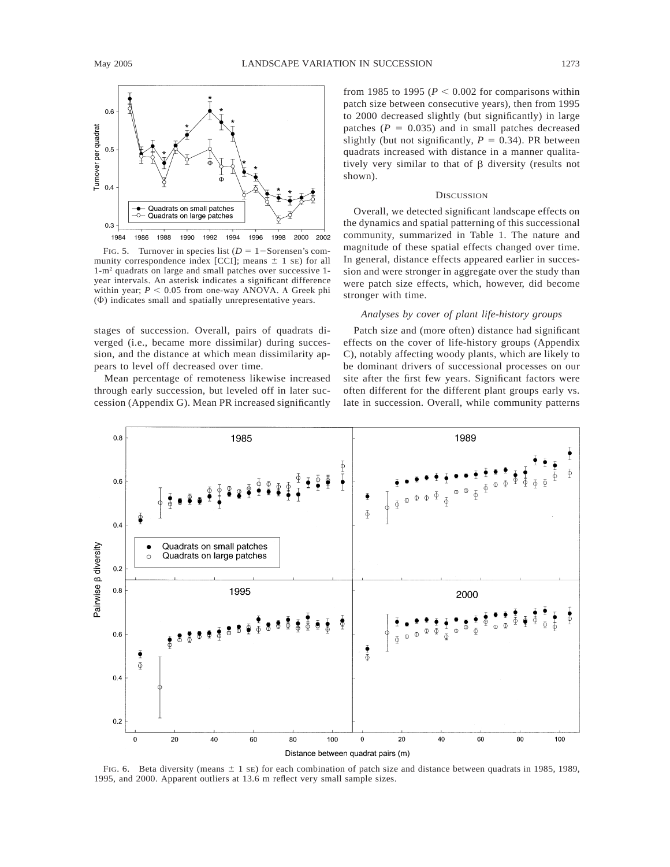

FIG. 5. Turnover in species list  $(D = 1$ –Sorensen's community correspondence index [CCI]; means  $\pm$  1 sE) for all 1-m2 quadrats on large and small patches over successive 1 year intervals. An asterisk indicates a significant difference within year;  $P < 0.05$  from one-way ANOVA. A Greek phi  $(\Phi)$  indicates small and spatially unrepresentative years.

stages of succession. Overall, pairs of quadrats diverged (i.e., became more dissimilar) during succession, and the distance at which mean dissimilarity appears to level off decreased over time.

Mean percentage of remoteness likewise increased through early succession, but leveled off in later succession (Appendix G). Mean PR increased significantly from 1985 to 1995 ( $P < 0.002$  for comparisons within patch size between consecutive years), then from 1995 to 2000 decreased slightly (but significantly) in large patches  $(P = 0.035)$  and in small patches decreased slightly (but not significantly,  $P = 0.34$ ). PR between quadrats increased with distance in a manner qualitatively very similar to that of  $\beta$  diversity (results not shown).

#### **DISCUSSION**

Overall, we detected significant landscape effects on the dynamics and spatial patterning of this successional community, summarized in Table 1. The nature and magnitude of these spatial effects changed over time. In general, distance effects appeared earlier in succession and were stronger in aggregate over the study than were patch size effects, which, however, did become stronger with time.

## *Analyses by cover of plant life-history groups*

Patch size and (more often) distance had significant effects on the cover of life-history groups (Appendix C), notably affecting woody plants, which are likely to be dominant drivers of successional processes on our site after the first few years. Significant factors were often different for the different plant groups early vs. late in succession. Overall, while community patterns



FIG. 6. Beta diversity (means  $\pm 1$  SE) for each combination of patch size and distance between quadrats in 1985, 1989, 1995, and 2000. Apparent outliers at 13.6 m reflect very small sample sizes.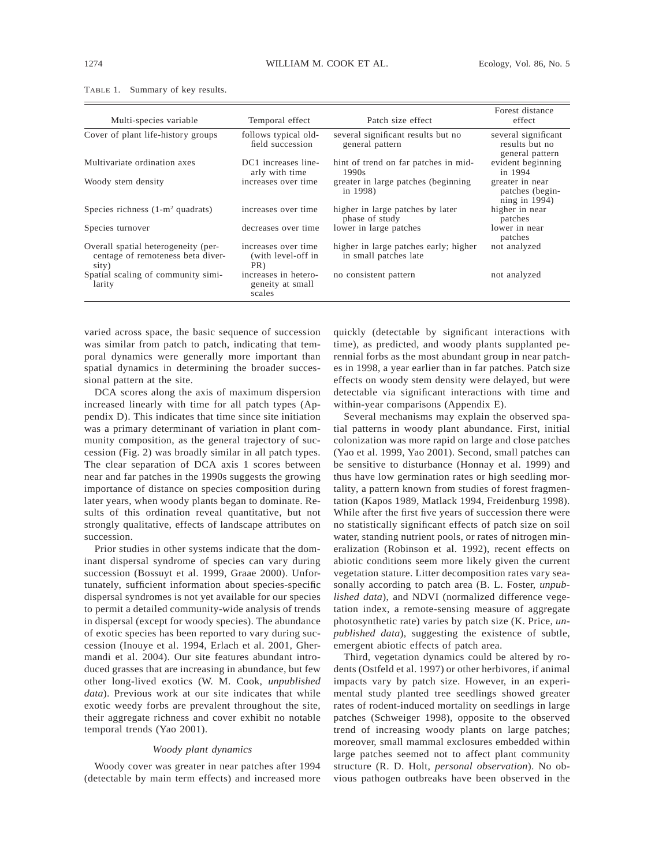| Multi-species variable                                                            | Temporal effect                                    | Patch size effect                                              | Forest distance<br>effect                                |
|-----------------------------------------------------------------------------------|----------------------------------------------------|----------------------------------------------------------------|----------------------------------------------------------|
| Cover of plant life-history groups                                                | follows typical old-<br>field succession           | several significant results but no<br>general pattern          | several significant<br>results but no<br>general pattern |
| Multivariate ordination axes                                                      | DC1 increases line-<br>arly with time              | hint of trend on far patches in mid-<br>1990s                  | evident beginning<br>in 1994                             |
| Woody stem density                                                                | increases over time                                | greater in large patches (beginning)<br>in $1998$ )            | greater in near<br>patches (begin-<br>ning in $1994$ )   |
| Species richness $(1-m^2)$ quadrats)                                              | increases over time                                | higher in large patches by later<br>phase of study             | higher in near<br>patches                                |
| Species turnover                                                                  | decreases over time                                | lower in large patches                                         | lower in near<br>patches                                 |
| Overall spatial heterogeneity (per-<br>centage of remoteness beta diver-<br>sity) | increases over time<br>(with level-off in<br>PR)   | higher in large patches early; higher<br>in small patches late | not analyzed                                             |
| Spatial scaling of community simi-<br>larity                                      | increases in hetero-<br>geneity at small<br>scales | no consistent pattern                                          | not analyzed                                             |

TABLE 1. Summary of key results.

varied across space, the basic sequence of succession was similar from patch to patch, indicating that temporal dynamics were generally more important than spatial dynamics in determining the broader successional pattern at the site.

DCA scores along the axis of maximum dispersion increased linearly with time for all patch types (Appendix D). This indicates that time since site initiation was a primary determinant of variation in plant community composition, as the general trajectory of succession (Fig. 2) was broadly similar in all patch types. The clear separation of DCA axis 1 scores between near and far patches in the 1990s suggests the growing importance of distance on species composition during later years, when woody plants began to dominate. Results of this ordination reveal quantitative, but not strongly qualitative, effects of landscape attributes on succession.

Prior studies in other systems indicate that the dominant dispersal syndrome of species can vary during succession (Bossuyt et al. 1999, Graae 2000). Unfortunately, sufficient information about species-specific dispersal syndromes is not yet available for our species to permit a detailed community-wide analysis of trends in dispersal (except for woody species). The abundance of exotic species has been reported to vary during succession (Inouye et al. 1994, Erlach et al. 2001, Ghermandi et al. 2004). Our site features abundant introduced grasses that are increasing in abundance, but few other long-lived exotics (W. M. Cook, *unpublished data*). Previous work at our site indicates that while exotic weedy forbs are prevalent throughout the site, their aggregate richness and cover exhibit no notable temporal trends (Yao 2001).

# *Woody plant dynamics*

Woody cover was greater in near patches after 1994 (detectable by main term effects) and increased more quickly (detectable by significant interactions with time), as predicted, and woody plants supplanted perennial forbs as the most abundant group in near patches in 1998, a year earlier than in far patches. Patch size effects on woody stem density were delayed, but were detectable via significant interactions with time and within-year comparisons (Appendix E).

Several mechanisms may explain the observed spatial patterns in woody plant abundance. First, initial colonization was more rapid on large and close patches (Yao et al. 1999, Yao 2001). Second, small patches can be sensitive to disturbance (Honnay et al. 1999) and thus have low germination rates or high seedling mortality, a pattern known from studies of forest fragmentation (Kapos 1989, Matlack 1994, Freidenburg 1998). While after the first five years of succession there were no statistically significant effects of patch size on soil water, standing nutrient pools, or rates of nitrogen mineralization (Robinson et al. 1992), recent effects on abiotic conditions seem more likely given the current vegetation stature. Litter decomposition rates vary seasonally according to patch area (B. L. Foster, *unpublished data*), and NDVI (normalized difference vegetation index, a remote-sensing measure of aggregate photosynthetic rate) varies by patch size (K. Price, *unpublished data*), suggesting the existence of subtle, emergent abiotic effects of patch area.

Third, vegetation dynamics could be altered by rodents (Ostfeld et al. 1997) or other herbivores, if animal impacts vary by patch size. However, in an experimental study planted tree seedlings showed greater rates of rodent-induced mortality on seedlings in large patches (Schweiger 1998), opposite to the observed trend of increasing woody plants on large patches; moreover, small mammal exclosures embedded within large patches seemed not to affect plant community structure (R. D. Holt, *personal observation*). No obvious pathogen outbreaks have been observed in the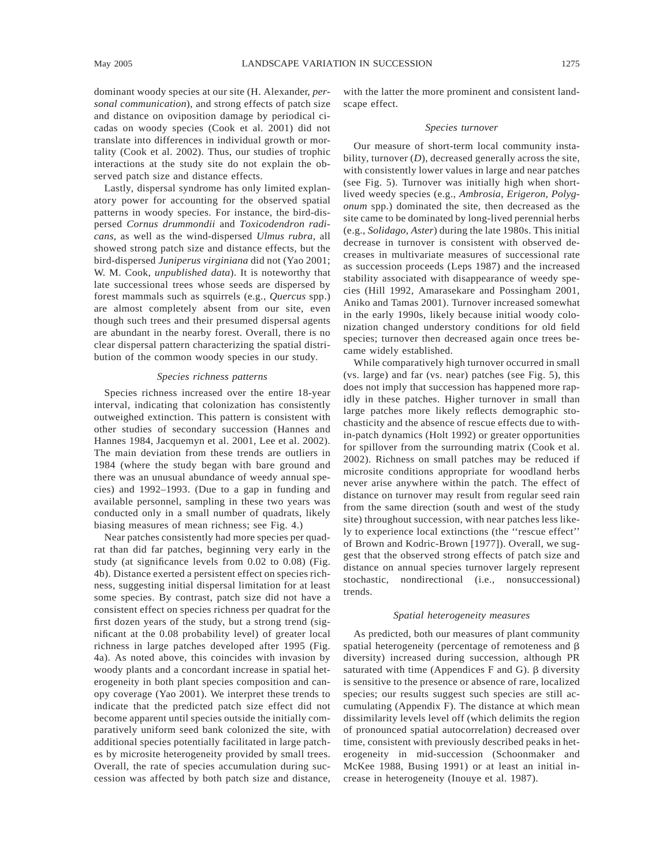dominant woody species at our site (H. Alexander, *personal communication*), and strong effects of patch size and distance on oviposition damage by periodical cicadas on woody species (Cook et al. 2001) did not translate into differences in individual growth or mortality (Cook et al. 2002). Thus, our studies of trophic interactions at the study site do not explain the observed patch size and distance effects.

Lastly, dispersal syndrome has only limited explanatory power for accounting for the observed spatial patterns in woody species. For instance, the bird-dispersed *Cornus drummondii* and *Toxicodendron radicans*, as well as the wind-dispersed *Ulmus rubra*, all showed strong patch size and distance effects, but the bird-dispersed *Juniperus virginiana* did not (Yao 2001; W. M. Cook, *unpublished data*). It is noteworthy that late successional trees whose seeds are dispersed by forest mammals such as squirrels (e.g., *Quercus* spp.) are almost completely absent from our site, even though such trees and their presumed dispersal agents are abundant in the nearby forest. Overall, there is no clear dispersal pattern characterizing the spatial distribution of the common woody species in our study.

## *Species richness patterns*

Species richness increased over the entire 18-year interval, indicating that colonization has consistently outweighed extinction. This pattern is consistent with other studies of secondary succession (Hannes and Hannes 1984, Jacquemyn et al. 2001, Lee et al. 2002). The main deviation from these trends are outliers in 1984 (where the study began with bare ground and there was an unusual abundance of weedy annual species) and 1992–1993. (Due to a gap in funding and available personnel, sampling in these two years was conducted only in a small number of quadrats, likely biasing measures of mean richness; see Fig. 4.)

Near patches consistently had more species per quadrat than did far patches, beginning very early in the study (at significance levels from 0.02 to 0.08) (Fig. 4b). Distance exerted a persistent effect on species richness, suggesting initial dispersal limitation for at least some species. By contrast, patch size did not have a consistent effect on species richness per quadrat for the first dozen years of the study, but a strong trend (significant at the 0.08 probability level) of greater local richness in large patches developed after 1995 (Fig. 4a). As noted above, this coincides with invasion by woody plants and a concordant increase in spatial heterogeneity in both plant species composition and canopy coverage (Yao 2001). We interpret these trends to indicate that the predicted patch size effect did not become apparent until species outside the initially comparatively uniform seed bank colonized the site, with additional species potentially facilitated in large patches by microsite heterogeneity provided by small trees. Overall, the rate of species accumulation during succession was affected by both patch size and distance, with the latter the more prominent and consistent landscape effect.

## *Species turnover*

Our measure of short-term local community instability, turnover (*D*), decreased generally across the site, with consistently lower values in large and near patches (see Fig. 5). Turnover was initially high when shortlived weedy species (e.g., *Ambrosia*, *Erigeron*, *Polygonum* spp.) dominated the site, then decreased as the site came to be dominated by long-lived perennial herbs (e.g., *Solidago*, *Aster*) during the late 1980s. This initial decrease in turnover is consistent with observed decreases in multivariate measures of successional rate as succession proceeds (Leps 1987) and the increased stability associated with disappearance of weedy species (Hill 1992, Amarasekare and Possingham 2001, Aniko and Tamas 2001). Turnover increased somewhat in the early 1990s, likely because initial woody colonization changed understory conditions for old field species; turnover then decreased again once trees became widely established.

While comparatively high turnover occurred in small (vs. large) and far (vs. near) patches (see Fig. 5), this does not imply that succession has happened more rapidly in these patches. Higher turnover in small than large patches more likely reflects demographic stochasticity and the absence of rescue effects due to within-patch dynamics (Holt 1992) or greater opportunities for spillover from the surrounding matrix (Cook et al. 2002). Richness on small patches may be reduced if microsite conditions appropriate for woodland herbs never arise anywhere within the patch. The effect of distance on turnover may result from regular seed rain from the same direction (south and west of the study site) throughout succession, with near patches less likely to experience local extinctions (the ''rescue effect'' of Brown and Kodric-Brown [1977]). Overall, we suggest that the observed strong effects of patch size and distance on annual species turnover largely represent stochastic, nondirectional (i.e., nonsuccessional) trends.

#### *Spatial heterogeneity measures*

As predicted, both our measures of plant community spatial heterogeneity (percentage of remoteness and  $\beta$ diversity) increased during succession, although PR saturated with time (Appendices  $F$  and  $G$ ).  $\beta$  diversity is sensitive to the presence or absence of rare, localized species; our results suggest such species are still accumulating (Appendix F). The distance at which mean dissimilarity levels level off (which delimits the region of pronounced spatial autocorrelation) decreased over time, consistent with previously described peaks in heterogeneity in mid-succession (Schoonmaker and McKee 1988, Busing 1991) or at least an initial increase in heterogeneity (Inouye et al. 1987).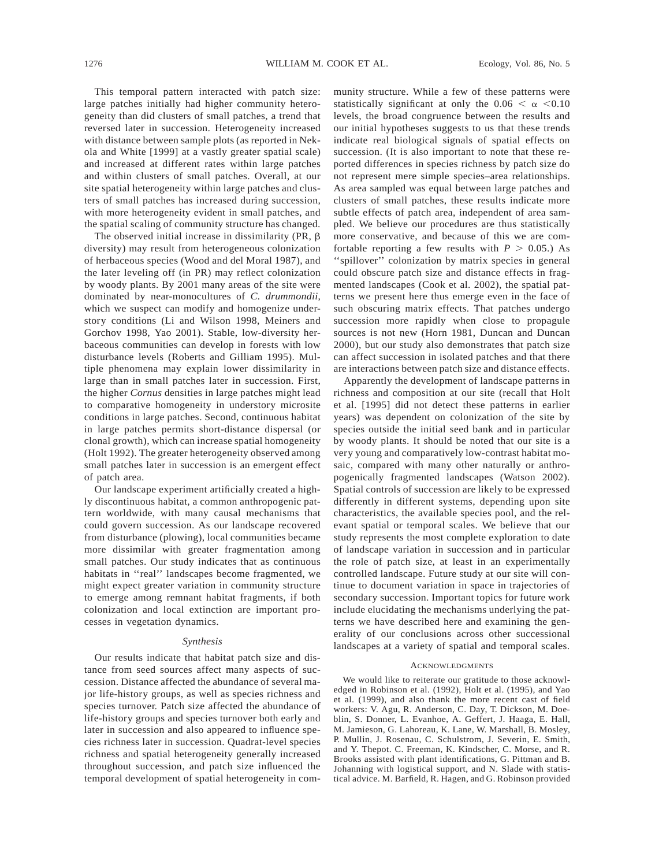This temporal pattern interacted with patch size: large patches initially had higher community heterogeneity than did clusters of small patches, a trend that reversed later in succession. Heterogeneity increased with distance between sample plots (as reported in Nekola and White [1999] at a vastly greater spatial scale) and increased at different rates within large patches and within clusters of small patches. Overall, at our site spatial heterogeneity within large patches and clusters of small patches has increased during succession, with more heterogeneity evident in small patches, and the spatial scaling of community structure has changed.

The observed initial increase in dissimilarity ( $PR$ ,  $\beta$ ) diversity) may result from heterogeneous colonization of herbaceous species (Wood and del Moral 1987), and the later leveling off (in PR) may reflect colonization by woody plants. By 2001 many areas of the site were dominated by near-monocultures of *C. drummondii*, which we suspect can modify and homogenize understory conditions (Li and Wilson 1998, Meiners and Gorchov 1998, Yao 2001). Stable, low-diversity herbaceous communities can develop in forests with low disturbance levels (Roberts and Gilliam 1995). Multiple phenomena may explain lower dissimilarity in large than in small patches later in succession. First, the higher *Cornus* densities in large patches might lead to comparative homogeneity in understory microsite conditions in large patches. Second, continuous habitat in large patches permits short-distance dispersal (or clonal growth), which can increase spatial homogeneity (Holt 1992). The greater heterogeneity observed among small patches later in succession is an emergent effect of patch area.

Our landscape experiment artificially created a highly discontinuous habitat, a common anthropogenic pattern worldwide, with many causal mechanisms that could govern succession. As our landscape recovered from disturbance (plowing), local communities became more dissimilar with greater fragmentation among small patches. Our study indicates that as continuous habitats in "real" landscapes become fragmented, we might expect greater variation in community structure to emerge among remnant habitat fragments, if both colonization and local extinction are important processes in vegetation dynamics.

#### *Synthesis*

Our results indicate that habitat patch size and distance from seed sources affect many aspects of succession. Distance affected the abundance of several major life-history groups, as well as species richness and species turnover. Patch size affected the abundance of life-history groups and species turnover both early and later in succession and also appeared to influence species richness later in succession. Quadrat-level species richness and spatial heterogeneity generally increased throughout succession, and patch size influenced the temporal development of spatial heterogeneity in community structure. While a few of these patterns were statistically significant at only the  $0.06 < \alpha < 0.10$ levels, the broad congruence between the results and our initial hypotheses suggests to us that these trends indicate real biological signals of spatial effects on succession. (It is also important to note that these reported differences in species richness by patch size do not represent mere simple species–area relationships. As area sampled was equal between large patches and clusters of small patches, these results indicate more subtle effects of patch area, independent of area sampled. We believe our procedures are thus statistically more conservative, and because of this we are comfortable reporting a few results with  $P > 0.05$ .) As ''spillover'' colonization by matrix species in general could obscure patch size and distance effects in fragmented landscapes (Cook et al. 2002), the spatial patterns we present here thus emerge even in the face of such obscuring matrix effects. That patches undergo succession more rapidly when close to propagule sources is not new (Horn 1981, Duncan and Duncan 2000), but our study also demonstrates that patch size can affect succession in isolated patches and that there are interactions between patch size and distance effects.

Apparently the development of landscape patterns in richness and composition at our site (recall that Holt et al. [1995] did not detect these patterns in earlier years) was dependent on colonization of the site by species outside the initial seed bank and in particular by woody plants. It should be noted that our site is a very young and comparatively low-contrast habitat mosaic, compared with many other naturally or anthropogenically fragmented landscapes (Watson 2002). Spatial controls of succession are likely to be expressed differently in different systems, depending upon site characteristics, the available species pool, and the relevant spatial or temporal scales. We believe that our study represents the most complete exploration to date of landscape variation in succession and in particular the role of patch size, at least in an experimentally controlled landscape. Future study at our site will continue to document variation in space in trajectories of secondary succession. Important topics for future work include elucidating the mechanisms underlying the patterns we have described here and examining the generality of our conclusions across other successional landscapes at a variety of spatial and temporal scales.

#### **ACKNOWLEDGMENTS**

We would like to reiterate our gratitude to those acknowledged in Robinson et al. (1992), Holt et al. (1995), and Yao et al. (1999), and also thank the more recent cast of field workers: V. Agu, R. Anderson, C. Day, T. Dickson, M. Doeblin, S. Donner, L. Evanhoe, A. Geffert, J. Haaga, E. Hall, M. Jamieson, G. Lahoreau, K. Lane, W. Marshall, B. Mosley, P. Mullin, J. Rosenau, C. Schulstrom, J. Severin, E. Smith, and Y. Thepot. C. Freeman, K. Kindscher, C. Morse, and R. Brooks assisted with plant identifications, G. Pittman and B. Johanning with logistical support, and N. Slade with statistical advice. M. Barfield, R. Hagen, and G. Robinson provided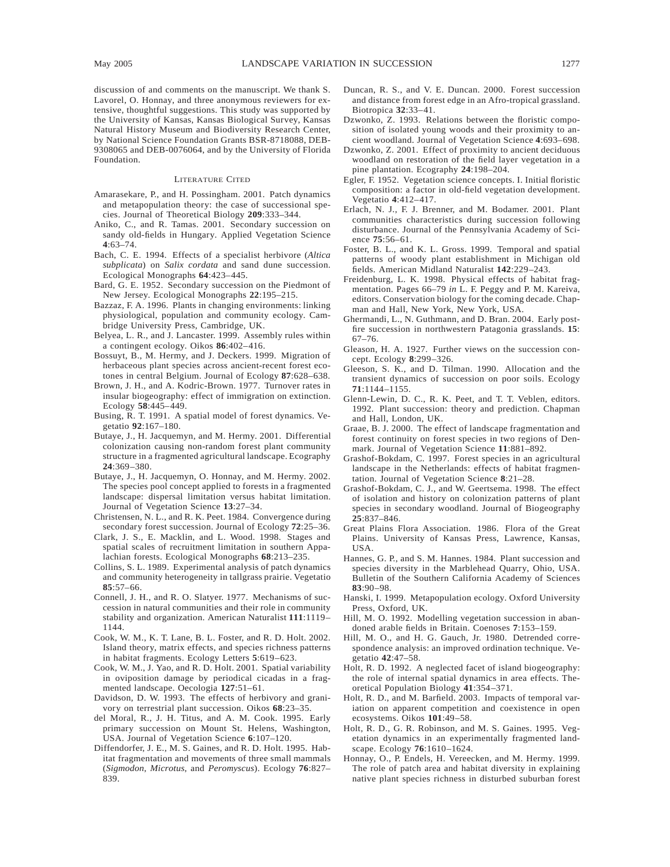discussion of and comments on the manuscript. We thank S. Lavorel, O. Honnay, and three anonymous reviewers for extensive, thoughtful suggestions. This study was supported by

the University of Kansas, Kansas Biological Survey, Kansas Natural History Museum and Biodiversity Research Center, by National Science Foundation Grants BSR-8718088, DEB-9308065 and DEB-0076064, and by the University of Florida Foundation.

## LITERATURE CITED

- Amarasekare, P., and H. Possingham. 2001. Patch dynamics and metapopulation theory: the case of successional species. Journal of Theoretical Biology **209**:333–344.
- Aniko, C., and R. Tamas. 2001. Secondary succession on sandy old-fields in Hungary. Applied Vegetation Science **4**:63–74.
- Bach, C. E. 1994. Effects of a specialist herbivore (*Altica subplicata*) on *Salix cordata* and sand dune succession. Ecological Monographs **64**:423–445.
- Bard, G. E. 1952. Secondary succession on the Piedmont of New Jersey. Ecological Monographs **22**:195–215.
- Bazzaz, F. A. 1996. Plants in changing environments: linking physiological, population and community ecology. Cambridge University Press, Cambridge, UK.
- Belyea, L. R., and J. Lancaster. 1999. Assembly rules within a contingent ecology. Oikos **86**:402–416.
- Bossuyt, B., M. Hermy, and J. Deckers. 1999. Migration of herbaceous plant species across ancient-recent forest ecotones in central Belgium. Journal of Ecology **87**:628–638.
- Brown, J. H., and A. Kodric-Brown. 1977. Turnover rates in insular biogeography: effect of immigration on extinction. Ecology **58**:445–449.
- Busing, R. T. 1991. A spatial model of forest dynamics. Vegetatio **92**:167–180.
- Butaye, J., H. Jacquemyn, and M. Hermy. 2001. Differential colonization causing non-random forest plant community structure in a fragmented agricultural landscape. Ecography **24**:369–380.
- Butaye, J., H. Jacquemyn, O. Honnay, and M. Hermy. 2002. The species pool concept applied to forests in a fragmented landscape: dispersal limitation versus habitat limitation. Journal of Vegetation Science **13**:27–34.
- Christensen, N. L., and R. K. Peet. 1984. Convergence during secondary forest succession. Journal of Ecology **72**:25–36.
- Clark, J. S., E. Macklin, and L. Wood. 1998. Stages and spatial scales of recruitment limitation in southern Appalachian forests. Ecological Monographs **68**:213–235.
- Collins, S. L. 1989. Experimental analysis of patch dynamics and community heterogeneity in tallgrass prairie. Vegetatio **85**:57–66.
- Connell, J. H., and R. O. Slatyer. 1977. Mechanisms of succession in natural communities and their role in community stability and organization. American Naturalist **111**:1119– 1144.
- Cook, W. M., K. T. Lane, B. L. Foster, and R. D. Holt. 2002. Island theory, matrix effects, and species richness patterns in habitat fragments. Ecology Letters **5**:619–623.
- Cook, W. M., J. Yao, and R. D. Holt. 2001. Spatial variability in oviposition damage by periodical cicadas in a fragmented landscape. Oecologia **127**:51–61.
- Davidson, D. W. 1993. The effects of herbivory and granivory on terrestrial plant succession. Oikos **68**:23–35.
- del Moral, R., J. H. Titus, and A. M. Cook. 1995. Early primary succession on Mount St. Helens, Washington, USA. Journal of Vegetation Science **6**:107–120.
- Diffendorfer, J. E., M. S. Gaines, and R. D. Holt. 1995. Habitat fragmentation and movements of three small mammals (*Sigmodon*, *Microtus*, and *Peromyscus*). Ecology **76**:827– 839.
- Duncan, R. S., and V. E. Duncan. 2000. Forest succession and distance from forest edge in an Afro-tropical grassland. Biotropica **32**:33–41.
- Dzwonko, Z. 1993. Relations between the floristic composition of isolated young woods and their proximity to ancient woodland. Journal of Vegetation Science **4**:693–698.
- Dzwonko, Z. 2001. Effect of proximity to ancient deciduous woodland on restoration of the field layer vegetation in a pine plantation. Ecography **24**:198–204.
- Egler, F. 1952. Vegetation science concepts. I. Initial floristic composition: a factor in old-field vegetation development. Vegetatio **4**:412–417.
- Erlach, N. J., F. J. Brenner, and M. Bodamer. 2001. Plant communities characteristics during succession following disturbance. Journal of the Pennsylvania Academy of Science **75**:56–61.
- Foster, B. L., and K. L. Gross. 1999. Temporal and spatial patterns of woody plant establishment in Michigan old fields. American Midland Naturalist **142**:229–243.
- Freidenburg, L. K. 1998. Physical effects of habitat fragmentation. Pages 66–79 *in* L. F. Peggy and P. M. Kareiva, editors. Conservation biology for the coming decade. Chapman and Hall, New York, New York, USA.
- Ghermandi, L., N. Guthmann, and D. Bran. 2004. Early postfire succession in northwestern Patagonia grasslands. **15**: 67–76.
- Gleason, H. A. 1927. Further views on the succession concept. Ecology **8**:299–326.
- Gleeson, S. K., and D. Tilman. 1990. Allocation and the transient dynamics of succession on poor soils. Ecology **71**:1144–1155.
- Glenn-Lewin, D. C., R. K. Peet, and T. T. Veblen, editors. 1992. Plant succession: theory and prediction. Chapman and Hall, London, UK.
- Graae, B. J. 2000. The effect of landscape fragmentation and forest continuity on forest species in two regions of Denmark. Journal of Vegetation Science **11**:881–892.
- Grashof-Bokdam, C. 1997. Forest species in an agricultural landscape in the Netherlands: effects of habitat fragmentation. Journal of Vegetation Science **8**:21–28.
- Grashof-Bokdam, C. J., and W. Geertsema. 1998. The effect of isolation and history on colonization patterns of plant species in secondary woodland. Journal of Biogeography **25**:837–846.
- Great Plains Flora Association. 1986. Flora of the Great Plains. University of Kansas Press, Lawrence, Kansas, USA.
- Hannes, G. P., and S. M. Hannes. 1984. Plant succession and species diversity in the Marblehead Quarry, Ohio, USA. Bulletin of the Southern California Academy of Sciences **83**:90–98.
- Hanski, I. 1999. Metapopulation ecology. Oxford University Press, Oxford, UK.
- Hill, M. O. 1992. Modelling vegetation succession in abandoned arable fields in Britain. Coenoses **7**:153–159.
- Hill, M. O., and H. G. Gauch, Jr. 1980. Detrended correspondence analysis: an improved ordination technique. Vegetatio **42**:47–58.
- Holt, R. D. 1992. A neglected facet of island biogeography: the role of internal spatial dynamics in area effects. Theoretical Population Biology **41**:354–371.
- Holt, R. D., and M. Barfield. 2003. Impacts of temporal variation on apparent competition and coexistence in open ecosystems. Oikos **101**:49–58.
- Holt, R. D., G. R. Robinson, and M. S. Gaines. 1995. Vegetation dynamics in an experimentally fragmented landscape. Ecology **76**:1610–1624.
- Honnay, O., P. Endels, H. Vereecken, and M. Hermy. 1999. The role of patch area and habitat diversity in explaining native plant species richness in disturbed suburban forest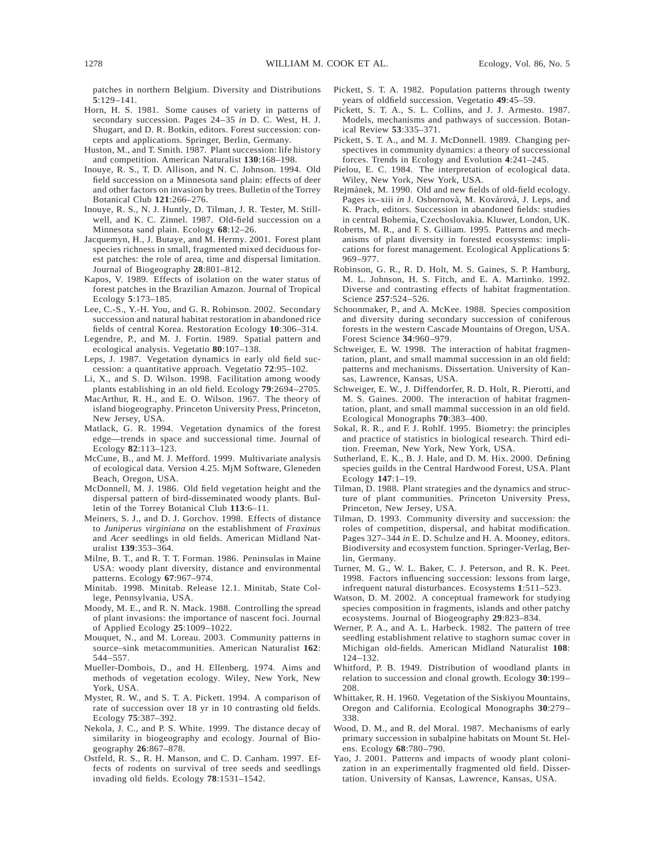patches in northern Belgium. Diversity and Distributions **5**:129–141.

- Horn, H. S. 1981. Some causes of variety in patterns of secondary succession. Pages 24–35 *in* D. C. West, H. J. Shugart, and D. R. Botkin, editors. Forest succession: concepts and applications. Springer, Berlin, Germany.
- Huston, M., and T. Smith. 1987. Plant succession: life history and competition. American Naturalist **130**:168–198.
- Inouye, R. S., T. D. Allison, and N. C. Johnson. 1994. Old field succession on a Minnesota sand plain: effects of deer and other factors on invasion by trees. Bulletin of the Torrey Botanical Club **121**:266–276.
- Inouye, R. S., N. J. Huntly, D. Tilman, J. R. Tester, M. Stillwell, and K. C. Zinnel. 1987. Old-field succession on a Minnesota sand plain. Ecology **68**:12–26.
- Jacquemyn, H., J. Butaye, and M. Hermy. 2001. Forest plant species richness in small, fragmented mixed deciduous forest patches: the role of area, time and dispersal limitation. Journal of Biogeography **28**:801–812.
- Kapos, V. 1989. Effects of isolation on the water status of forest patches in the Brazilian Amazon. Journal of Tropical Ecology **5**:173–185.
- Lee, C.-S., Y.-H. You, and G. R. Robinson. 2002. Secondary succession and natural habitat restoration in abandoned rice fields of central Korea. Restoration Ecology **10**:306–314.
- Legendre, P., and M. J. Fortin. 1989. Spatial pattern and ecological analysis. Vegetatio **80**:107–138.
- Leps, J. 1987. Vegetation dynamics in early old field succession: a quantitative approach. Vegetatio **72**:95–102.
- Li, X., and S. D. Wilson. 1998. Facilitation among woody plants establishing in an old field. Ecology **79**:2694–2705.
- MacArthur, R. H., and E. O. Wilson. 1967. The theory of island biogeography. Princeton University Press, Princeton, New Jersey, USA.
- Matlack, G. R. 1994. Vegetation dynamics of the forest edge—trends in space and successional time. Journal of Ecology **82**:113–123.
- McCune, B., and M. J. Mefford. 1999. Multivariate analysis of ecological data. Version 4.25. MjM Software, Gleneden Beach, Oregon, USA.
- McDonnell, M. J. 1986. Old field vegetation height and the dispersal pattern of bird-disseminated woody plants. Bulletin of the Torrey Botanical Club **113**:6–11.
- Meiners, S. J., and D. J. Gorchov. 1998. Effects of distance to *Juniperus virginiana* on the establishment of *Fraxinus* and *Acer* seedlings in old fields. American Midland Naturalist **139**:353–364.
- Milne, B. T., and R. T. T. Forman. 1986. Peninsulas in Maine USA: woody plant diversity, distance and environmental patterns. Ecology **67**:967–974.
- Minitab. 1998. Minitab. Release 12.1. Minitab, State College, Pennsylvania, USA.
- Moody, M. E., and R. N. Mack. 1988. Controlling the spread of plant invasions: the importance of nascent foci. Journal of Applied Ecology **25**:1009–1022.
- Mouquet, N., and M. Loreau. 2003. Community patterns in source–sink metacommunities. American Naturalist **162**: 544–557.
- Mueller-Dombois, D., and H. Ellenberg. 1974. Aims and methods of vegetation ecology. Wiley, New York, New York, USA.
- Myster, R. W., and S. T. A. Pickett. 1994. A comparison of rate of succession over 18 yr in 10 contrasting old fields. Ecology **75**:387–392.
- Nekola, J. C., and P. S. White. 1999. The distance decay of similarity in biogeography and ecology. Journal of Biogeography **26**:867–878.
- Ostfeld, R. S., R. H. Manson, and C. D. Canham. 1997. Effects of rodents on survival of tree seeds and seedlings invading old fields. Ecology **78**:1531–1542.
- Pickett, S. T. A. 1982. Population patterns through twenty years of oldfield succession. Vegetatio **49**:45–59.
- Pickett, S. T. A., S. L. Collins, and J. J. Armesto. 1987. Models, mechanisms and pathways of succession. Botanical Review **53**:335–371.
- Pickett, S. T. A., and M. J. McDonnell. 1989. Changing perspectives in community dynamics: a theory of successional forces. Trends in Ecology and Evolution **4**:241–245.
- Pielou, E. C. 1984. The interpretation of ecological data. Wiley, New York, New York, USA.
- Rejmánek, M. 1990. Old and new fields of old-field ecology. Pages ix-xiii *in* J. Osbornová, M. Kovárová, J. Leps, and K. Prach, editors. Succession in abandoned fields: studies in central Bohemia, Czechoslovakia. Kluwer, London, UK.
- Roberts, M. R., and F. S. Gilliam. 1995. Patterns and mechanisms of plant diversity in forested ecosystems: implications for forest management. Ecological Applications **5**: 969–977.
- Robinson, G. R., R. D. Holt, M. S. Gaines, S. P. Hamburg, M. L. Johnson, H. S. Fitch, and E. A. Martinko. 1992. Diverse and contrasting effects of habitat fragmentation. Science **257**:524–526.
- Schoonmaker, P., and A. McKee. 1988. Species composition and diversity during secondary succession of coniferous forests in the western Cascade Mountains of Oregon, USA. Forest Science **34**:960–979.
- Schweiger, E. W. 1998. The interaction of habitat fragmentation, plant, and small mammal succession in an old field: patterns and mechanisms. Dissertation. University of Kansas, Lawrence, Kansas, USA.
- Schweiger, E. W., J. Diffendorfer, R. D. Holt, R. Pierotti, and M. S. Gaines. 2000. The interaction of habitat fragmentation, plant, and small mammal succession in an old field. Ecological Monographs **70**:383–400.
- Sokal, R. R., and F. J. Rohlf. 1995. Biometry: the principles and practice of statistics in biological research. Third edition. Freeman, New York, New York, USA.
- Sutherland, E. K., B. J. Hale, and D. M. Hix. 2000. Defining species guilds in the Central Hardwood Forest, USA. Plant Ecology **147**:1–19.
- Tilman, D. 1988. Plant strategies and the dynamics and structure of plant communities. Princeton University Press, Princeton, New Jersey, USA.
- Tilman, D. 1993. Community diversity and succession: the roles of competition, dispersal, and habitat modification. Pages 327–344 *in* E. D. Schulze and H. A. Mooney, editors. Biodiversity and ecosystem function. Springer-Verlag, Berlin, Germany.
- Turner, M. G., W. L. Baker, C. J. Peterson, and R. K. Peet. 1998. Factors influencing succession: lessons from large, infrequent natural disturbances. Ecosystems **1**:511–523.
- Watson, D. M. 2002. A conceptual framework for studying species composition in fragments, islands and other patchy ecosystems. Journal of Biogeography **29**:823–834.
- Werner, P. A., and A. L. Harbeck. 1982. The pattern of tree seedling establishment relative to staghorn sumac cover in Michigan old-fields. American Midland Naturalist **108**: 124–132.
- Whitford, P. B. 1949. Distribution of woodland plants in relation to succession and clonal growth. Ecology **30**:199– 208.
- Whittaker, R. H. 1960. Vegetation of the Siskiyou Mountains, Oregon and California. Ecological Monographs **30**:279– 338.
- Wood, D. M., and R. del Moral. 1987. Mechanisms of early primary succession in subalpine habitats on Mount St. Helens. Ecology **68**:780–790.
- Yao, J. 2001. Patterns and impacts of woody plant colonization in an experimentally fragmented old field. Dissertation. University of Kansas, Lawrence, Kansas, USA.